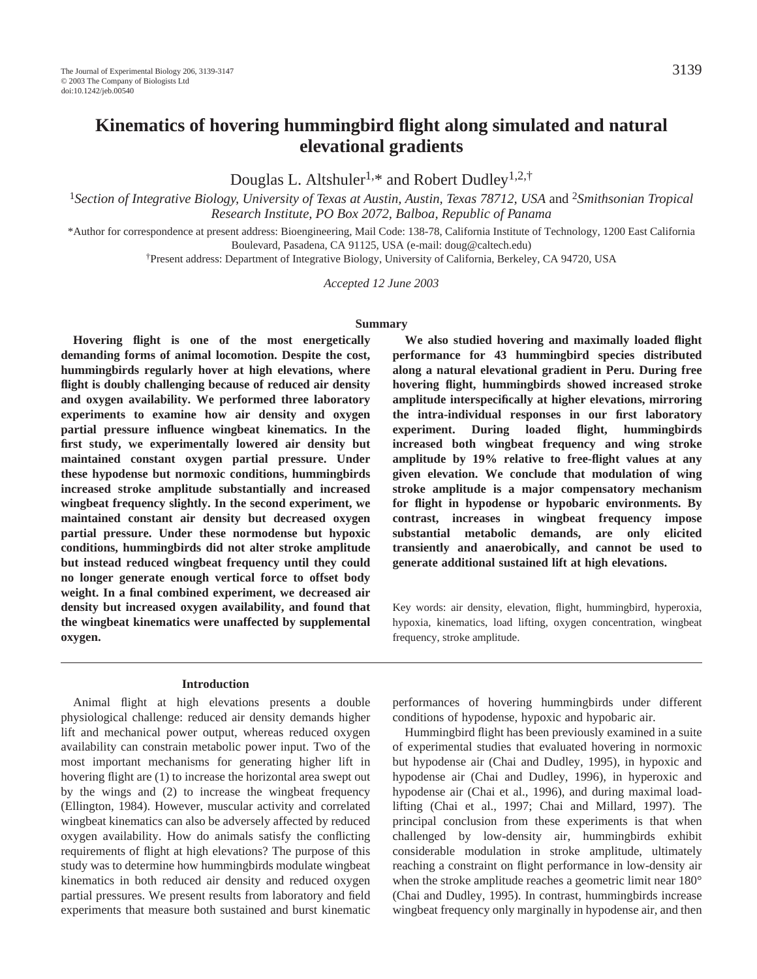# **Kinematics of hovering hummingbird flight along simulated and natural elevational gradients**

Douglas L. Altshuler<sup>1,\*</sup> and Robert Dudley<sup>1,2,†</sup>

<sup>1</sup>*Section of Integrative Biology, University of Texas at Austin, Austin, Texas 78712, USA* and 2*Smithsonian Tropical Research Institute, PO Box 2072, Balboa, Republic of Panama*

\*Author for correspondence at present address: Bioengineering, Mail Code: 138-78, California Institute of Technology, 1200 East California Boulevard, Pasadena, CA 91125, USA (e-mail: doug@caltech.edu)

†Present address: Department of Integrative Biology, University of California, Berkeley, CA 94720, USA

*Accepted 12 June 2003*

## **Summary**

**Hovering flight is one of the most energetically demanding forms of animal locomotion. Despite the cost, hummingbirds regularly hover at high elevations, where flight is doubly challenging because of reduced air density and oxygen availability. We performed three laboratory experiments to examine how air density and oxygen partial pressure influence wingbeat kinematics. In the first study, we experimentally lowered air density but maintained constant oxygen partial pressure. Under these hypodense but normoxic conditions, hummingbirds increased stroke amplitude substantially and increased wingbeat frequency slightly. In the second experiment, we maintained constant air density but decreased oxygen partial pressure. Under these normodense but hypoxic conditions, hummingbirds did not alter stroke amplitude but instead reduced wingbeat frequency until they could no longer generate enough vertical force to offset body weight. In a final combined experiment, we decreased air density but increased oxygen availability, and found that the wingbeat kinematics were unaffected by supplemental oxygen.**

#### **Introduction**

Animal flight at high elevations presents a double physiological challenge: reduced air density demands higher lift and mechanical power output, whereas reduced oxygen availability can constrain metabolic power input. Two of the most important mechanisms for generating higher lift in hovering flight are (1) to increase the horizontal area swept out by the wings and (2) to increase the wingbeat frequency (Ellington, 1984). However, muscular activity and correlated wingbeat kinematics can also be adversely affected by reduced oxygen availability. How do animals satisfy the conflicting requirements of flight at high elevations? The purpose of this study was to determine how hummingbirds modulate wingbeat kinematics in both reduced air density and reduced oxygen partial pressures. We present results from laboratory and field experiments that measure both sustained and burst kinematic

**We also studied hovering and maximally loaded flight performance for 43 hummingbird species distributed along a natural elevational gradient in Peru. During free hovering flight, hummingbirds showed increased stroke amplitude interspecifically at higher elevations, mirroring the intra-individual responses in our first laboratory experiment. During loaded flight, hummingbirds increased both wingbeat frequency and wing stroke amplitude by 19% relative to free-flight values at any given elevation. We conclude that modulation of wing stroke amplitude is a major compensatory mechanism for flight in hypodense or hypobaric environments. By contrast, increases in wingbeat frequency impose substantial metabolic demands, are only elicited transiently and anaerobically, and cannot be used to generate additional sustained lift at high elevations.**

Key words: air density, elevation, flight, hummingbird, hyperoxia, hypoxia, kinematics, load lifting, oxygen concentration, wingbeat frequency, stroke amplitude.

performances of hovering hummingbirds under different conditions of hypodense, hypoxic and hypobaric air.

Hummingbird flight has been previously examined in a suite of experimental studies that evaluated hovering in normoxic but hypodense air (Chai and Dudley, 1995), in hypoxic and hypodense air (Chai and Dudley, 1996), in hyperoxic and hypodense air (Chai et al., 1996), and during maximal loadlifting (Chai et al., 1997; Chai and Millard, 1997). The principal conclusion from these experiments is that when challenged by low-density air, hummingbirds exhibit considerable modulation in stroke amplitude, ultimately reaching a constraint on flight performance in low-density air when the stroke amplitude reaches a geometric limit near 180° (Chai and Dudley, 1995). In contrast, hummingbirds increase wingbeat frequency only marginally in hypodense air, and then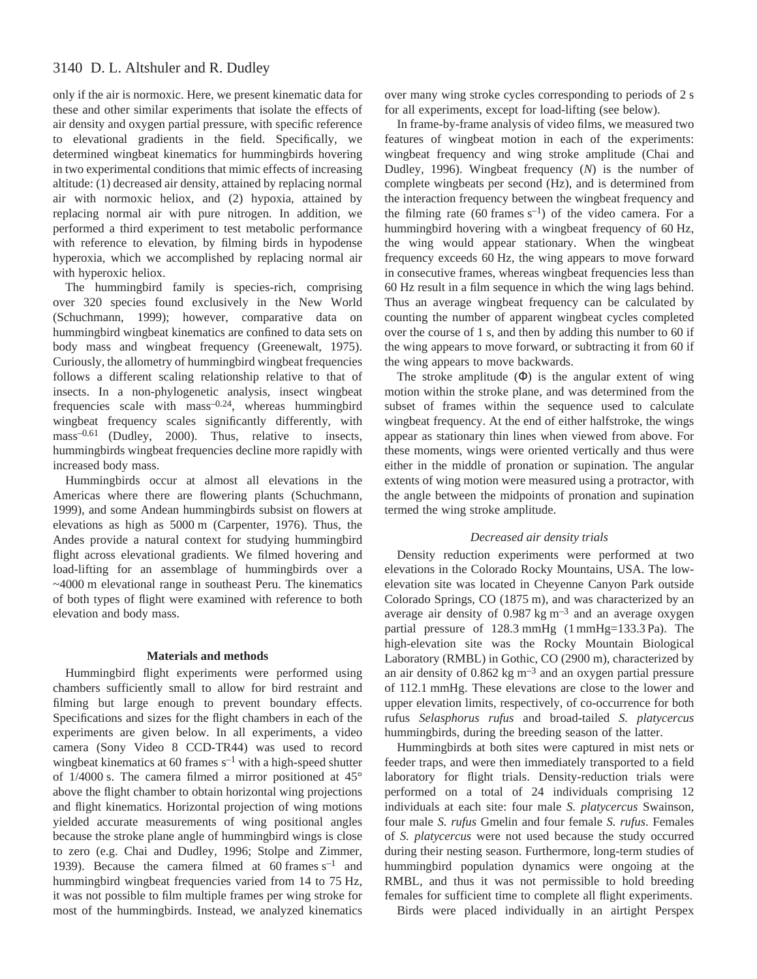only if the air is normoxic. Here, we present kinematic data for these and other similar experiments that isolate the effects of air density and oxygen partial pressure, with specific reference to elevational gradients in the field. Specifically, we determined wingbeat kinematics for hummingbirds hovering in two experimental conditions that mimic effects of increasing altitude: (1) decreased air density, attained by replacing normal air with normoxic heliox, and (2) hypoxia, attained by replacing normal air with pure nitrogen. In addition, we performed a third experiment to test metabolic performance with reference to elevation, by filming birds in hypodense hyperoxia, which we accomplished by replacing normal air with hyperoxic heliox.

The hummingbird family is species-rich, comprising over 320 species found exclusively in the New World (Schuchmann, 1999); however, comparative data on hummingbird wingbeat kinematics are confined to data sets on body mass and wingbeat frequency (Greenewalt, 1975). Curiously, the allometry of hummingbird wingbeat frequencies follows a different scaling relationship relative to that of insects. In a non-phylogenetic analysis, insect wingbeat frequencies scale with mass–0.24, whereas hummingbird wingbeat frequency scales significantly differently, with mass<sup>-0.61</sup> (Dudley, 2000). Thus, relative to insects, hummingbirds wingbeat frequencies decline more rapidly with increased body mass.

Hummingbirds occur at almost all elevations in the Americas where there are flowering plants (Schuchmann, 1999), and some Andean hummingbirds subsist on flowers at elevations as high as  $5000 \text{ m}$  (Carpenter, 1976). Thus, the Andes provide a natural context for studying hummingbird flight across elevational gradients. We filmed hovering and load-lifting for an assemblage of hummingbirds over a ~4000 m elevational range in southeast Peru. The kinematics of both types of flight were examined with reference to both elevation and body mass.

## **Materials and methods**

Hummingbird flight experiments were performed using chambers sufficiently small to allow for bird restraint and filming but large enough to prevent boundary effects. Specifications and sizes for the flight chambers in each of the experiments are given below. In all experiments, a video camera (Sony Video 8 CCD-TR44) was used to record wingbeat kinematics at 60 frames  $s^{-1}$  with a high-speed shutter of  $1/4000$  s. The camera filmed a mirror positioned at  $45^{\circ}$ above the flight chamber to obtain horizontal wing projections and flight kinematics. Horizontal projection of wing motions yielded accurate measurements of wing positional angles because the stroke plane angle of hummingbird wings is close to zero (e.g. Chai and Dudley, 1996; Stolpe and Zimmer, 1939). Because the camera filmed at 60 frames  $s^{-1}$  and hummingbird wingbeat frequencies varied from 14 to 75 Hz, it was not possible to film multiple frames per wing stroke for most of the hummingbirds. Instead, we analyzed kinematics over many wing stroke cycles corresponding to periods of 2 s for all experiments, except for load-lifting (see below).

In frame-by-frame analysis of video films, we measured two features of wingbeat motion in each of the experiments: wingbeat frequency and wing stroke amplitude (Chai and Dudley, 1996). Wingbeat frequency (*N*) is the number of complete wingbeats per second (Hz), and is determined from the interaction frequency between the wingbeat frequency and the filming rate (60 frames  $s^{-1}$ ) of the video camera. For a hummingbird hovering with a wingbeat frequency of 60 Hz, the wing would appear stationary. When the wingbeat frequency exceeds 60 Hz, the wing appears to move forward in consecutive frames, whereas wingbeat frequencies less than 60 Hz result in a film sequence in which the wing lags behind. Thus an average wingbeat frequency can be calculated by counting the number of apparent wingbeat cycles completed over the course of 1 s, and then by adding this number to 60 if the wing appears to move forward, or subtracting it from 60 if the wing appears to move backwards.

The stroke amplitude  $(\Phi)$  is the angular extent of wing motion within the stroke plane, and was determined from the subset of frames within the sequence used to calculate wingbeat frequency. At the end of either halfstroke, the wings appear as stationary thin lines when viewed from above. For these moments, wings were oriented vertically and thus were either in the middle of pronation or supination. The angular extents of wing motion were measured using a protractor, with the angle between the midpoints of pronation and supination termed the wing stroke amplitude.

## *Decreased air density trials*

Density reduction experiments were performed at two elevations in the Colorado Rocky Mountains, USA. The lowelevation site was located in Cheyenne Canyon Park outside Colorado Springs, CO (1875 m), and was characterized by an average air density of  $0.987 \text{ kg m}^{-3}$  and an average oxygen partial pressure of  $128.3 \text{ mmHg}$  (1 mmHg=133.3 Pa). The high-elevation site was the Rocky Mountain Biological Laboratory (RMBL) in Gothic, CO (2900 m), characterized by an air density of  $0.862 \text{ kg m}^{-3}$  and an oxygen partial pressure of 112.1 mmHg. These elevations are close to the lower and upper elevation limits, respectively, of co-occurrence for both rufus *Selasphorus rufus* and broad-tailed *S. platycercus* hummingbirds, during the breeding season of the latter.

Hummingbirds at both sites were captured in mist nets or feeder traps, and were then immediately transported to a field laboratory for flight trials. Density-reduction trials were performed on a total of 24 individuals comprising 12 individuals at each site: four male *S. platycercus* Swainson, four male *S. rufus* Gmelin and four female *S. rufus*. Females of *S. platycercus* were not used because the study occurred during their nesting season. Furthermore, long-term studies of hummingbird population dynamics were ongoing at the RMBL, and thus it was not permissible to hold breeding females for sufficient time to complete all flight experiments.

Birds were placed individually in an airtight Perspex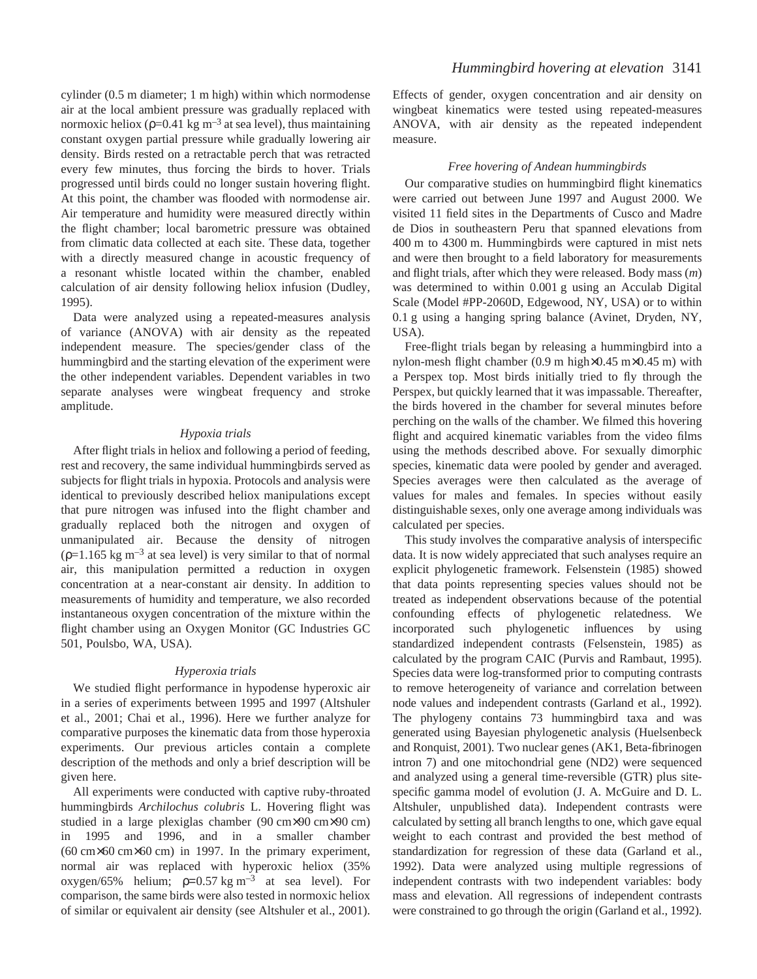cylinder  $(0.5 \text{ m diameter}; 1 \text{ m high})$  within which normodense air at the local ambient pressure was gradually replaced with normoxic heliox ( $\rho$ =0.41 kg m<sup>-3</sup> at sea level), thus maintaining constant oxygen partial pressure while gradually lowering air density. Birds rested on a retractable perch that was retracted every few minutes, thus forcing the birds to hover. Trials progressed until birds could no longer sustain hovering flight. At this point, the chamber was flooded with normodense air. Air temperature and humidity were measured directly within the flight chamber; local barometric pressure was obtained from climatic data collected at each site. These data, together with a directly measured change in acoustic frequency of a resonant whistle located within the chamber, enabled calculation of air density following heliox infusion (Dudley, 1995).

Data were analyzed using a repeated-measures analysis of variance (ANOVA) with air density as the repeated independent measure. The species/gender class of the hummingbird and the starting elevation of the experiment were the other independent variables. Dependent variables in two separate analyses were wingbeat frequency and stroke amplitude.

## *Hypoxia trials*

After flight trials in heliox and following a period of feeding, rest and recovery, the same individual hummingbirds served as subjects for flight trials in hypoxia. Protocols and analysis were identical to previously described heliox manipulations except that pure nitrogen was infused into the flight chamber and gradually replaced both the nitrogen and oxygen of unmanipulated air. Because the density of nitrogen  $(p=1.165 \text{ kg m}^{-3}$  at sea level) is very similar to that of normal air, this manipulation permitted a reduction in oxygen concentration at a near-constant air density. In addition to measurements of humidity and temperature, we also recorded instantaneous oxygen concentration of the mixture within the flight chamber using an Oxygen Monitor (GC Industries GC 501, Poulsbo, WA, USA).

## *Hyperoxia trials*

We studied flight performance in hypodense hyperoxic air in a series of experiments between 1995 and 1997 (Altshuler et al., 2001; Chai et al., 1996). Here we further analyze for comparative purposes the kinematic data from those hyperoxia experiments. Our previous articles contain a complete description of the methods and only a brief description will be given here.

All experiments were conducted with captive ruby-throated hummingbirds *Archilochus colubris* L. Hovering flight was studied in a large plexiglas chamber  $(90 \text{ cm} \times 90 \text{ cm} \times 90 \text{ cm})$ in 1995 and 1996, and in a smaller chamber  $(60 \text{ cm} \times 60 \text{ cm} \times 60 \text{ cm})$  in 1997. In the primary experiment, normal air was replaced with hyperoxic heliox (35% oxygen/65% helium;  $p=0.57 \text{ kg m}^{-3}$  at sea level). For comparison, the same birds were also tested in normoxic heliox of similar or equivalent air density (see Altshuler et al., 2001).

Effects of gender, oxygen concentration and air density on wingbeat kinematics were tested using repeated-measures ANOVA, with air density as the repeated independent measure.

## *Free hovering of Andean hummingbirds*

Our comparative studies on hummingbird flight kinematics were carried out between June 1997 and August 2000. We visited 11 field sites in the Departments of Cusco and Madre de Dios in southeastern Peru that spanned elevations from 400 m to 4300 m. Hummingbirds were captured in mist nets and were then brought to a field laboratory for measurements and flight trials, after which they were released. Body mass (*m*) was determined to within 0.001 g using an Acculab Digital Scale (Model #PP-2060D, Edgewood, NY, USA) or to within 0.1 g using a hanging spring balance (Avinet, Dryden, NY, USA).

Free-flight trials began by releasing a hummingbird into a nylon-mesh flight chamber (0.9 m high $\times$ 0.45 m $\times$ 0.45 m) with a Perspex top. Most birds initially tried to fly through the Perspex, but quickly learned that it was impassable. Thereafter, the birds hovered in the chamber for several minutes before perching on the walls of the chamber. We filmed this hovering flight and acquired kinematic variables from the video films using the methods described above. For sexually dimorphic species, kinematic data were pooled by gender and averaged. Species averages were then calculated as the average of values for males and females. In species without easily distinguishable sexes, only one average among individuals was calculated per species.

This study involves the comparative analysis of interspecific data. It is now widely appreciated that such analyses require an explicit phylogenetic framework. Felsenstein (1985) showed that data points representing species values should not be treated as independent observations because of the potential confounding effects of phylogenetic relatedness. We incorporated such phylogenetic influences by using standardized independent contrasts (Felsenstein, 1985) as calculated by the program CAIC (Purvis and Rambaut, 1995). Species data were log-transformed prior to computing contrasts to remove heterogeneity of variance and correlation between node values and independent contrasts (Garland et al., 1992). The phylogeny contains 73 hummingbird taxa and was generated using Bayesian phylogenetic analysis (Huelsenbeck and Ronquist, 2001). Two nuclear genes (AK1, Beta-fibrinogen intron 7) and one mitochondrial gene (ND2) were sequenced and analyzed using a general time-reversible (GTR) plus sitespecific gamma model of evolution (J. A. McGuire and D. L. Altshuler, unpublished data). Independent contrasts were calculated by setting all branch lengths to one, which gave equal weight to each contrast and provided the best method of standardization for regression of these data (Garland et al., 1992). Data were analyzed using multiple regressions of independent contrasts with two independent variables: body mass and elevation. All regressions of independent contrasts were constrained to go through the origin (Garland et al., 1992).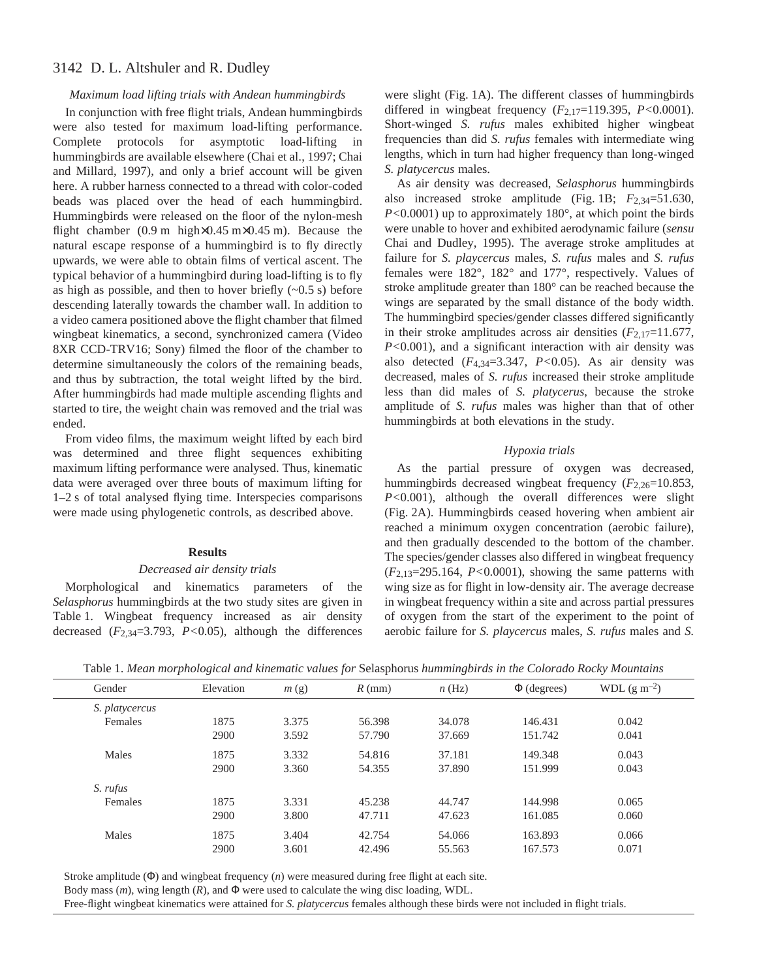## *Maximum load lifting trials with Andean hummingbirds*

In conjunction with free flight trials, Andean hummingbirds were also tested for maximum load-lifting performance. Complete protocols for asymptotic load-lifting in hummingbirds are available elsewhere (Chai et al., 1997; Chai and Millard, 1997), and only a brief account will be given here. A rubber harness connected to a thread with color-coded beads was placed over the head of each hummingbird. Hummingbirds were released on the floor of the nylon-mesh flight chamber (0.9 m high $\times$ 0.45 m $\times$ 0.45 m). Because the natural escape response of a hummingbird is to fly directly upwards, we were able to obtain films of vertical ascent. The typical behavior of a hummingbird during load-lifting is to fly as high as possible, and then to hover briefly  $(-0.5s)$  before descending laterally towards the chamber wall. In addition to a video camera positioned above the flight chamber that filmed wingbeat kinematics, a second, synchronized camera (Video 8XR CCD-TRV16; Sony) filmed the floor of the chamber to determine simultaneously the colors of the remaining beads, and thus by subtraction, the total weight lifted by the bird. After hummingbirds had made multiple ascending flights and started to tire, the weight chain was removed and the trial was ended.

From video films, the maximum weight lifted by each bird was determined and three flight sequences exhibiting maximum lifting performance were analysed. Thus, kinematic data were averaged over three bouts of maximum lifting for 1–2 s of total analysed flying time. Interspecies comparisons were made using phylogenetic controls, as described above.

## **Results**

#### *Decreased air density trials*

Morphological and kinematics parameters of the *Selasphorus* hummingbirds at the two study sites are given in Table 1. Wingbeat frequency increased as air density decreased (*F*2,34=3.793, *P<*0.05), although the differences

were slight (Fig. 1A). The different classes of hummingbirds differed in wingbeat frequency (*F*2,17=119.395, *P<*0.0001). Short-winged *S. rufus* males exhibited higher wingbeat frequencies than did *S. rufus* females with intermediate wing lengths, which in turn had higher frequency than long-winged *S. platycercus* males.

As air density was decreased, *Selasphorus* hummingbirds also increased stroke amplitude (Fig. 1B;  $F_{2,34}=51.630$ , *P*<0.0001) up to approximately 180°, at which point the birds were unable to hover and exhibited aerodynamic failure (*sensu* Chai and Dudley, 1995). The average stroke amplitudes at failure for *S. playcercus* males, *S. rufus* males and *S. rufus* females were 182°, 182° and 177°, respectively. Values of stroke amplitude greater than 180° can be reached because the wings are separated by the small distance of the body width. The hummingbird species/gender classes differed significantly in their stroke amplitudes across air densities  $(F_{2,17}=11.677)$ , *P<*0.001), and a significant interaction with air density was also detected (*F*4,34=3.347, *P<*0.05). As air density was decreased, males of *S. rufus* increased their stroke amplitude less than did males of *S. platycerus*, because the stroke amplitude of *S. rufus* males was higher than that of other hummingbirds at both elevations in the study.

#### *Hypoxia trials*

As the partial pressure of oxygen was decreased, hummingbirds decreased wingbeat frequency ( $F_{2,26}=10.853$ , *P<*0.001), although the overall differences were slight (Fig. 2A). Hummingbirds ceased hovering when ambient air reached a minimum oxygen concentration (aerobic failure), and then gradually descended to the bottom of the chamber. The species/gender classes also differed in wingbeat frequency (*F*2,13=295.164, *P<*0.0001), showing the same patterns with wing size as for flight in low-density air. The average decrease in wingbeat frequency within a site and across partial pressures of oxygen from the start of the experiment to the point of aerobic failure for *S. playcercus* males, *S. rufus* males and *S.*

|                | $\sim$    |       | $\cdot$  | $\tilde{ }$ |                  | $\checkmark$  |  |
|----------------|-----------|-------|----------|-------------|------------------|---------------|--|
| Gender         | Elevation | m(g)  | $R$ (mm) | n(Hz)       | $\Phi$ (degrees) | $WDL (g m-2)$ |  |
| S. platycercus |           |       |          |             |                  |               |  |
| Females        | 1875      | 3.375 | 56.398   | 34.078      | 146.431          | 0.042         |  |
|                | 2900      | 3.592 | 57.790   | 37.669      | 151.742          | 0.041         |  |
| Males          | 1875      | 3.332 | 54.816   | 37.181      | 149.348          | 0.043         |  |
|                | 2900      | 3.360 | 54.355   | 37.890      | 151.999          | 0.043         |  |
| S. rufus       |           |       |          |             |                  |               |  |
| Females        | 1875      | 3.331 | 45.238   | 44.747      | 144.998          | 0.065         |  |
|                | 2900      | 3.800 | 47.711   | 47.623      | 161.085          | 0.060         |  |
| Males          | 1875      | 3.404 | 42.754   | 54.066      | 163.893          | 0.066         |  |
|                | 2900      | 3.601 | 42.496   | 55.563      | 167.573          | 0.071         |  |
|                |           |       |          |             |                  |               |  |

Table·1. *Mean morphological and kinematic values for* Selasphorus *hummingbirds in the Colorado Rocky Mountains*

Stroke amplitude (Φ) and wingbeat frequency (*n*) were measured during free flight at each site.

Body mass (*m*), wing length (*R*), and Φ were used to calculate the wing disc loading, WDL.

Free-flight wingbeat kinematics were attained for *S. platycercus* females although these birds were not included in flight trials.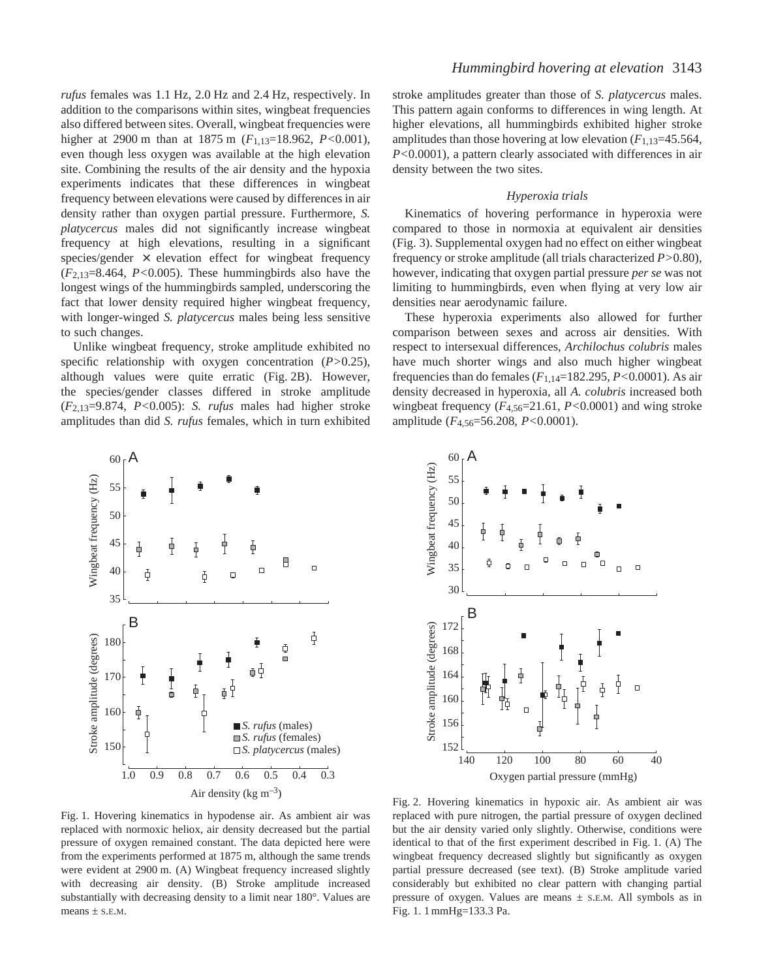*rufus* females was 1.1 Hz, 2.0 Hz and 2.4 Hz, respectively. In addition to the comparisons within sites, wingbeat frequencies also differed between sites. Overall, wingbeat frequencies were higher at 2900 m than at 1875 m  $(F_{1,13}=18.962, P<0.001)$ , even though less oxygen was available at the high elevation site. Combining the results of the air density and the hypoxia experiments indicates that these differences in wingbeat frequency between elevations were caused by differences in air density rather than oxygen partial pressure. Furthermore, *S. platycercus* males did not significantly increase wingbeat frequency at high elevations, resulting in a significant species/gender  $\times$  elevation effect for wingbeat frequency (*F*2,13=8.464, *P<*0.005). These hummingbirds also have the longest wings of the hummingbirds sampled, underscoring the fact that lower density required higher wingbeat frequency, with longer-winged *S. platycercus* males being less sensitive to such changes.

Unlike wingbeat frequency, stroke amplitude exhibited no specific relationship with oxygen concentration (*P>*0.25), although values were quite erratic (Fig. 2B). However, the species/gender classes differed in stroke amplitude (*F*2,13=9.874, *P<*0.005): *S. rufus* males had higher stroke amplitudes than did *S. rufus* females, which in turn exhibited stroke amplitudes greater than those of *S. platycercus* males. This pattern again conforms to differences in wing length. At higher elevations, all hummingbirds exhibited higher stroke amplitudes than those hovering at low elevation  $(F_{1,13}=45.564,$ *P<*0.0001), a pattern clearly associated with differences in air density between the two sites.

#### *Hyperoxia trials*

Kinematics of hovering performance in hyperoxia were compared to those in normoxia at equivalent air densities (Fig. 3). Supplemental oxygen had no effect on either wingbeat frequency or stroke amplitude (all trials characterized *P>*0.80), however, indicating that oxygen partial pressure *per se* was not limiting to hummingbirds, even when flying at very low air densities near aerodynamic failure.

These hyperoxia experiments also allowed for further comparison between sexes and across air densities. With respect to intersexual differences, *Archilochus colubris* males have much shorter wings and also much higher wingbeat frequencies than do females (*F*1,14=182.295, *P<*0.0001). As air density decreased in hyperoxia, all *A. colubris* increased both wingbeat frequency (*F*4,56=21.61, *P<*0.0001) and wing stroke amplitude (*F*4,56=56.208, *P<*0.0001).





Fig. 1. Hovering kinematics in hypodense air. As ambient air was replaced with normoxic heliox, air density decreased but the partial pressure of oxygen remained constant. The data depicted here were from the experiments performed at 1875 m, although the same trends were evident at 2900 m. (A) Wingbeat frequency increased slightly with decreasing air density. (B) Stroke amplitude increased substantially with decreasing density to a limit near 180°. Values are means  $\pm$  S.E.M.

Fig. 2. Hovering kinematics in hypoxic air. As ambient air was replaced with pure nitrogen, the partial pressure of oxygen declined but the air density varied only slightly. Otherwise, conditions were identical to that of the first experiment described in Fig. 1. (A) The wingbeat frequency decreased slightly but significantly as oxygen partial pressure decreased (see text). (B) Stroke amplitude varied considerably but exhibited no clear pattern with changing partial pressure of oxygen. Values are means  $\pm$  s.E.M. All symbols as in Fig. 1. 1 mmHg=133.3 Pa.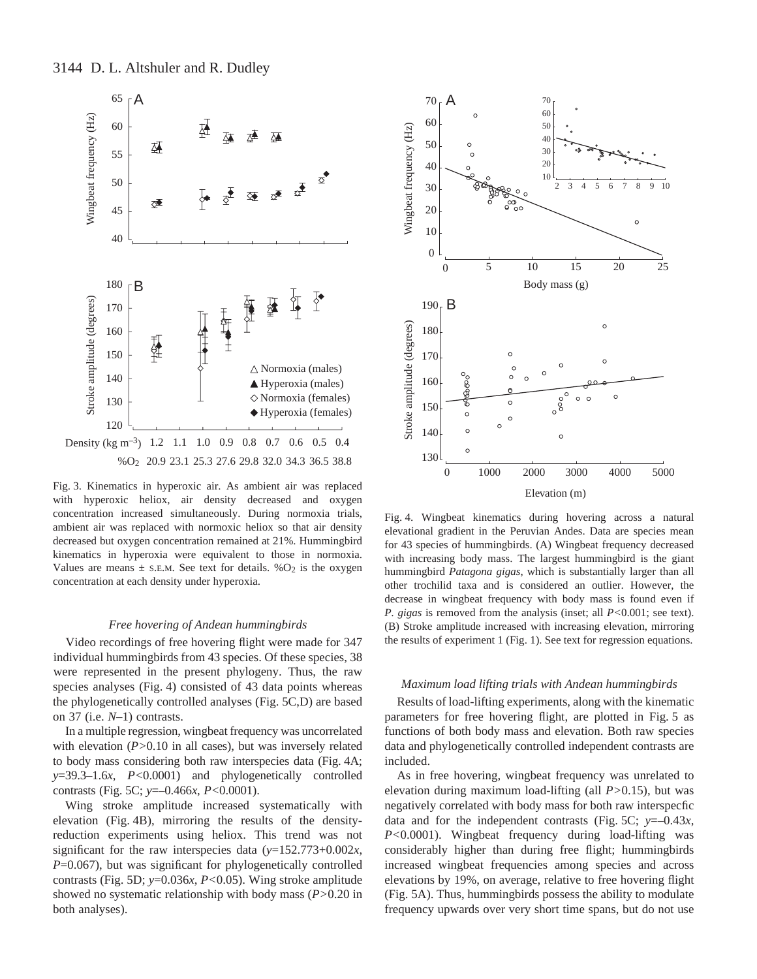

Fig. 3. Kinematics in hyperoxic air. As ambient air was replaced with hyperoxic heliox, air density decreased and oxygen concentration increased simultaneously. During normoxia trials, ambient air was replaced with normoxic heliox so that air density decreased but oxygen concentration remained at 21%. Hummingbird kinematics in hyperoxia were equivalent to those in normoxia. Values are means  $\pm$  s.e.m. See text for details. % $O_2$  is the oxygen concentration at each density under hyperoxia.

#### *Free hovering of Andean hummingbirds*

Video recordings of free hovering flight were made for 347 individual hummingbirds from 43 species. Of these species, 38 were represented in the present phylogeny. Thus, the raw species analyses (Fig. 4) consisted of 43 data points whereas the phylogenetically controlled analyses (Fig. 5C,D) are based on 37 (i.e. *N*–1) contrasts.

In a multiple regression, wingbeat frequency was uncorrelated with elevation (*P>*0.10 in all cases), but was inversely related to body mass considering both raw interspecies data (Fig. 4A; *y*=39.3–1.6*x*, *P<*0.0001) and phylogenetically controlled contrasts (Fig.·5C; *y*=–0.466*x*, *P<*0.0001).

Wing stroke amplitude increased systematically with elevation (Fig. 4B), mirroring the results of the densityreduction experiments using heliox. This trend was not significant for the raw interspecies data (*y*=152.773+0.002*x*, *P*=0.067), but was significant for phylogenetically controlled contrasts (Fig.·5D; *y*=0.036*x*, *P<*0.05). Wing stroke amplitude showed no systematic relationship with body mass (*P>*0.20 in both analyses).



Fig. 4. Wingbeat kinematics during hovering across a natural elevational gradient in the Peruvian Andes. Data are species mean for 43 species of hummingbirds. (A) Wingbeat frequency decreased with increasing body mass. The largest hummingbird is the giant hummingbird *Patagona gigas*, which is substantially larger than all other trochilid taxa and is considered an outlier. However, the decrease in wingbeat frequency with body mass is found even if *P. gigas* is removed from the analysis (inset; all *P<*0.001; see text). (B) Stroke amplitude increased with increasing elevation, mirroring the results of experiment 1 (Fig. 1). See text for regression equations.

#### *Maximum load lifting trials with Andean hummingbirds*

Results of load-lifting experiments, along with the kinematic parameters for free hovering flight, are plotted in Fig. 5 as functions of both body mass and elevation. Both raw species data and phylogenetically controlled independent contrasts are included.

As in free hovering, wingbeat frequency was unrelated to elevation during maximum load-lifting (all *P>*0.15), but was negatively correlated with body mass for both raw interspecfic data and for the independent contrasts (Fig. 5C;  $y=-0.43x$ , *P<*0.0001). Wingbeat frequency during load-lifting was considerably higher than during free flight; hummingbirds increased wingbeat frequencies among species and across elevations by 19%, on average, relative to free hovering flight (Fig. 5A). Thus, hummingbirds possess the ability to modulate frequency upwards over very short time spans, but do not use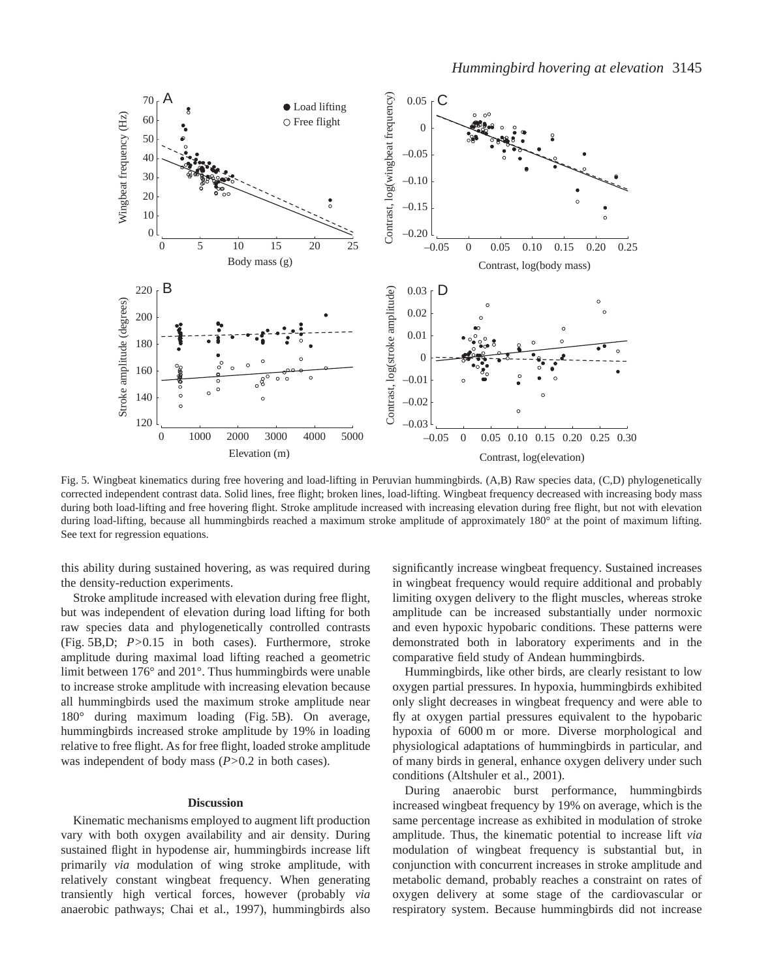

Fig. 5. Wingbeat kinematics during free hovering and load-lifting in Peruvian hummingbirds. (A,B) Raw species data, (C,D) phylogenetically corrected independent contrast data. Solid lines, free flight; broken lines, load-lifting. Wingbeat frequency decreased with increasing body mass during both load-lifting and free hovering flight. Stroke amplitude increased with increasing elevation during free flight, but not with elevation during load-lifting, because all hummingbirds reached a maximum stroke amplitude of approximately 180° at the point of maximum lifting. See text for regression equations.

this ability during sustained hovering, as was required during the density-reduction experiments.

Stroke amplitude increased with elevation during free flight, but was independent of elevation during load lifting for both raw species data and phylogenetically controlled contrasts (Fig.·5B,D; *P>*0.15 in both cases). Furthermore, stroke amplitude during maximal load lifting reached a geometric limit between 176° and 201°. Thus hummingbirds were unable to increase stroke amplitude with increasing elevation because all hummingbirds used the maximum stroke amplitude near  $180^\circ$  during maximum loading (Fig. 5B). On average, hummingbirds increased stroke amplitude by 19% in loading relative to free flight. As for free flight, loaded stroke amplitude was independent of body mass (*P>*0.2 in both cases).

## **Discussion**

Kinematic mechanisms employed to augment lift production vary with both oxygen availability and air density. During sustained flight in hypodense air, hummingbirds increase lift primarily *via* modulation of wing stroke amplitude, with relatively constant wingbeat frequency. When generating transiently high vertical forces, however (probably *via* anaerobic pathways; Chai et al., 1997), hummingbirds also

significantly increase wingbeat frequency. Sustained increases in wingbeat frequency would require additional and probably limiting oxygen delivery to the flight muscles, whereas stroke amplitude can be increased substantially under normoxic and even hypoxic hypobaric conditions. These patterns were demonstrated both in laboratory experiments and in the comparative field study of Andean hummingbirds.

Hummingbirds, like other birds, are clearly resistant to low oxygen partial pressures. In hypoxia, hummingbirds exhibited only slight decreases in wingbeat frequency and were able to fly at oxygen partial pressures equivalent to the hypobaric hypoxia of 6000 m or more. Diverse morphological and physiological adaptations of hummingbirds in particular, and of many birds in general, enhance oxygen delivery under such conditions (Altshuler et al., 2001).

During anaerobic burst performance, hummingbirds increased wingbeat frequency by 19% on average, which is the same percentage increase as exhibited in modulation of stroke amplitude. Thus, the kinematic potential to increase lift *via* modulation of wingbeat frequency is substantial but, in conjunction with concurrent increases in stroke amplitude and metabolic demand, probably reaches a constraint on rates of oxygen delivery at some stage of the cardiovascular or respiratory system. Because hummingbirds did not increase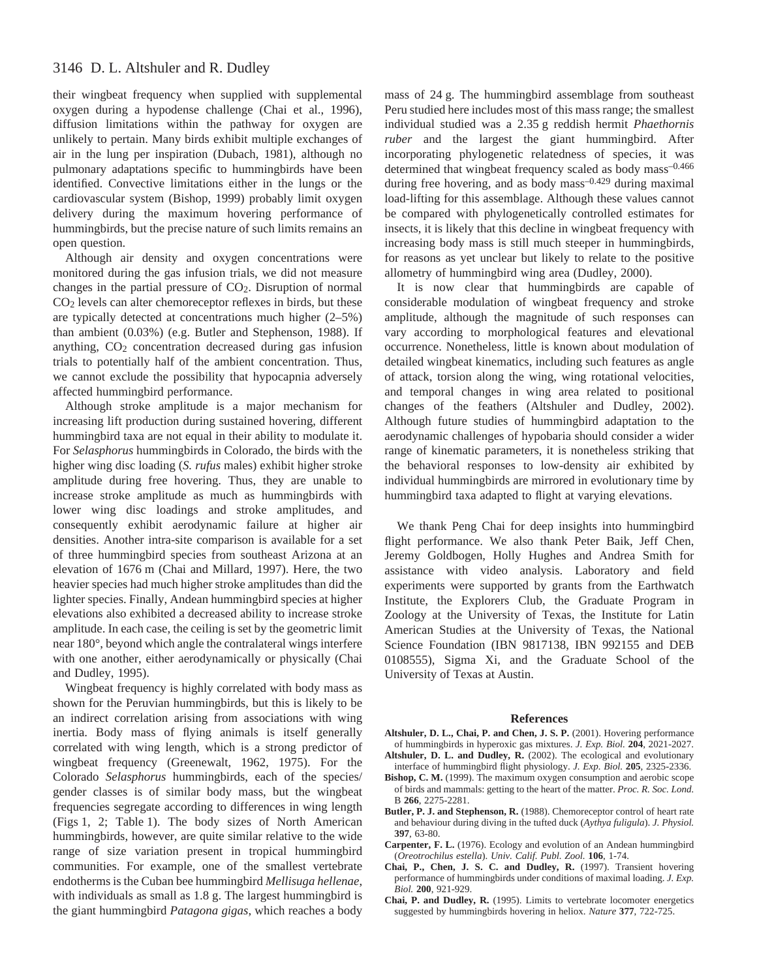their wingbeat frequency when supplied with supplemental oxygen during a hypodense challenge (Chai et al., 1996), diffusion limitations within the pathway for oxygen are unlikely to pertain. Many birds exhibit multiple exchanges of air in the lung per inspiration (Dubach, 1981), although no pulmonary adaptations specific to hummingbirds have been identified. Convective limitations either in the lungs or the cardiovascular system (Bishop, 1999) probably limit oxygen delivery during the maximum hovering performance of hummingbirds, but the precise nature of such limits remains an open question.

Although air density and oxygen concentrations were monitored during the gas infusion trials, we did not measure changes in the partial pressure of  $CO<sub>2</sub>$ . Disruption of normal  $CO<sub>2</sub>$  levels can alter chemoreceptor reflexes in birds, but these are typically detected at concentrations much higher (2–5%) than ambient (0.03%) (e.g. Butler and Stephenson, 1988). If anything, CO<sub>2</sub> concentration decreased during gas infusion trials to potentially half of the ambient concentration. Thus, we cannot exclude the possibility that hypocapnia adversely affected hummingbird performance.

Although stroke amplitude is a major mechanism for increasing lift production during sustained hovering, different hummingbird taxa are not equal in their ability to modulate it. For *Selasphorus* hummingbirds in Colorado, the birds with the higher wing disc loading (*S. rufus* males) exhibit higher stroke amplitude during free hovering. Thus, they are unable to increase stroke amplitude as much as hummingbirds with lower wing disc loadings and stroke amplitudes, and consequently exhibit aerodynamic failure at higher air densities. Another intra-site comparison is available for a set of three hummingbird species from southeast Arizona at an elevation of 1676 m (Chai and Millard, 1997). Here, the two heavier species had much higher stroke amplitudes than did the lighter species. Finally, Andean hummingbird species at higher elevations also exhibited a decreased ability to increase stroke amplitude. In each case, the ceiling is set by the geometric limit near 180°, beyond which angle the contralateral wings interfere with one another, either aerodynamically or physically (Chai and Dudley, 1995).

Wingbeat frequency is highly correlated with body mass as shown for the Peruvian hummingbirds, but this is likely to be an indirect correlation arising from associations with wing inertia. Body mass of flying animals is itself generally correlated with wing length, which is a strong predictor of wingbeat frequency (Greenewalt, 1962, 1975). For the Colorado *Selasphorus* hummingbirds, each of the species/ gender classes is of similar body mass, but the wingbeat frequencies segregate according to differences in wing length (Figs 1, 2; Table 1). The body sizes of North American hummingbirds, however, are quite similar relative to the wide range of size variation present in tropical hummingbird communities. For example, one of the smallest vertebrate endotherms is the Cuban bee hummingbird *Mellisuga hellenae*, with individuals as small as  $1.8<sub>g</sub>$ . The largest hummingbird is the giant hummingbird *Patagona gigas*, which reaches a body mass of 24 g. The hummingbird assemblage from southeast Peru studied here includes most of this mass range; the smallest individual studied was a 2.35·g reddish hermit *Phaethornis ruber* and the largest the giant hummingbird. After incorporating phylogenetic relatedness of species, it was determined that wingbeat frequency scaled as body mass–0.466 during free hovering, and as body mass–0.429 during maximal load-lifting for this assemblage. Although these values cannot be compared with phylogenetically controlled estimates for insects, it is likely that this decline in wingbeat frequency with increasing body mass is still much steeper in hummingbirds, for reasons as yet unclear but likely to relate to the positive allometry of hummingbird wing area (Dudley, 2000).

It is now clear that hummingbirds are capable of considerable modulation of wingbeat frequency and stroke amplitude, although the magnitude of such responses can vary according to morphological features and elevational occurrence. Nonetheless, little is known about modulation of detailed wingbeat kinematics, including such features as angle of attack, torsion along the wing, wing rotational velocities, and temporal changes in wing area related to positional changes of the feathers (Altshuler and Dudley, 2002). Although future studies of hummingbird adaptation to the aerodynamic challenges of hypobaria should consider a wider range of kinematic parameters, it is nonetheless striking that the behavioral responses to low-density air exhibited by individual hummingbirds are mirrored in evolutionary time by hummingbird taxa adapted to flight at varying elevations.

We thank Peng Chai for deep insights into hummingbird flight performance. We also thank Peter Baik, Jeff Chen, Jeremy Goldbogen, Holly Hughes and Andrea Smith for assistance with video analysis. Laboratory and field experiments were supported by grants from the Earthwatch Institute, the Explorers Club, the Graduate Program in Zoology at the University of Texas, the Institute for Latin American Studies at the University of Texas, the National Science Foundation (IBN 9817138, IBN 992155 and DEB 0108555), Sigma Xi, and the Graduate School of the University of Texas at Austin.

## **References**

- **Altshuler, D. L., Chai, P. and Chen, J. S. P.** (2001). Hovering performance of hummingbirds in hyperoxic gas mixtures. *J. Exp. Biol.* **204**, 2021-2027.
- **Altshuler, D. L. and Dudley, R.** (2002). The ecological and evolutionary interface of hummingbird flight physiology. *J. Exp. Biol.* **205**, 2325-2336.
- **Bishop, C. M.** (1999). The maximum oxygen consumption and aerobic scope of birds and mammals: getting to the heart of the matter. *Proc. R. Soc. Lond.* B **266**, 2275-2281.
- **Butler, P. J. and Stephenson, R.** (1988). Chemoreceptor control of heart rate and behaviour during diving in the tufted duck (*Aythya fuligula*). *J. Physiol.* **397**, 63-80.
- **Carpenter, F. L.** (1976). Ecology and evolution of an Andean hummingbird (*Oreotrochilus estella*). *Univ. Calif. Publ. Zool.* **106**, 1-74.
- **Chai, P., Chen, J. S. C. and Dudley, R.** (1997). Transient hovering performance of hummingbirds under conditions of maximal loading. *J. Exp. Biol.* **200**, 921-929.
- **Chai, P. and Dudley, R.** (1995). Limits to vertebrate locomoter energetics suggested by hummingbirds hovering in heliox. *Nature* **377**, 722-725.